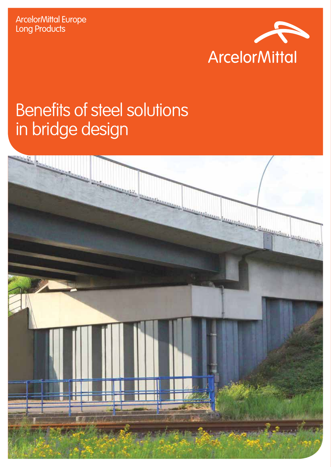

# Benefits of steel solutions in bridge design

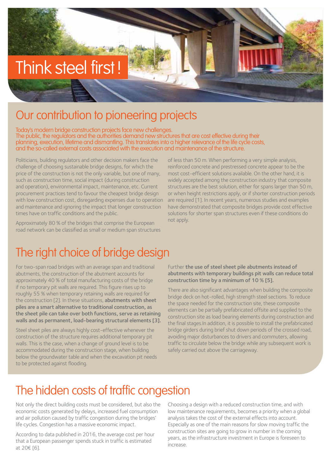## Think steel first!

#### Our contribution to pioneering projects

Today's modern bridge construction projects face new challenges. The public, the regulators and the authorities demand new structures that are cost effective during their planning, execution, lifetime and dismantling. This translates into a higher relevance of the life cycle costs, and the so-called external costs associated with the execution and maintenance of the structure.

Politicians, building regulators and other decision makers face the challenge of choosing sustainable bridge designs, for which the price of the construction is not the only variable, but one of many, such as construction time, social impact (during construction and operation), environmental impact, maintenance, etc. Current procurement practices tend to favour the cheapest bridge design with low construction cost, disregarding expenses due to operation and maintenance and ignoring the impact that longer construction times have on traffic conditions and the public.

Approximately 80 % of the bridges that comprise the European road network can be classified as small or medium span structures

The right choice of bridge design

For two-span road bridges with an average span and traditional abutments, the construction of the abutment accounts for approximately 40 % of total manufacturing costs of the bridge if no temporary pit walls are required. This figure rises up to roughly 55 % when temporary retaining walls are required for the construction [2]. In these situations, **abutments with sheet** piles are a smart alternative to traditional construction, as the sheet pile can take over both functions, serve as retaining walls and as permanent, load-bearing structural elements [3].

Steel sheet piles are always highly cost-effective whenever the construction of the structure requires additional temporary pit walls. This is the case, when a change of ground level is to be accommodated during the construction stage, when building below the groundwater table and when the excavation pit needs to be protected against flooding.

of less than 50 m. When performing a very simple analysis, reinforced concrete and prestressed concrete appear to be the most cost-efficient solutions available. On the other hand, it is widely accepted among the construction industry that composite structures are the best solution, either for spans larger than 50 m, or when height restrictions apply, or if shorter construction periods are required [1]. In recent years, numerous studies and examples have demonstrated that composite bridges provide cost effective solutions for shorter span structures even if these conditions do not apply.

Further the use of steel sheet pile abutments instead of abutments with temporary buildings pit walls can reduce total construction time by a minimum of 10 % [5].

There are also significant advantages when building the composite bridge deck on hot-rolled, high strength steel sections. To reduce the space needed for the construction site, these composite elements can be partially prefabricated offsite and supplied to the construction site as load bearing elements during construction and the final stages.In addition, it is possible to install the prefabricated bridge girders during brief shut down periods of the crossed road, avoiding major disturbances to drivers and commuters, allowing traffic to circulate below the bridge while any subsequent work is safely carried out above the carriageway.

## The hidden costs of traffic congestion

Not only the direct building costs must be considered, but also the economic costs generated by delays, increased fuel consumption and air pollution caused by traffic congestion during the bridges' life cycles. Congestion has a massive economic impact.

According to data published in 2016, the average cost per hour that a European passenger spends stuck in traffic is estimated at 20€ [6].

Choosing a design with a reduced construction time, and with low maintenance requirements, becomes a priority when a global analysis takes the cost of the external effects into account. Especially as one of the main reasons for slow moving traffic the construction sites are going to grow in number in the coming years, as the infrastructure investment in Europe is foreseen to increase.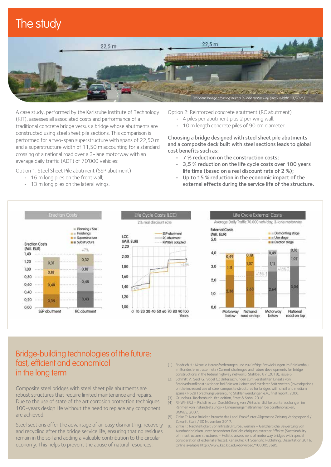### The study



A case study, performed by the Karlsruhe Institute of Technology (KIT), assesses all associated costs and performance of a traditional concrete bridge versus a bridge whose abutments are constructed using steel sheet pile sections. This comparison is performed for a two-span superstructure with spans of 22,50 m and a superstructure width of 11,50 m accounting for a standard crossing of a national road over a 3-lane motorway with an average daily traffic (ADT) of 70'000 vehicles:

Option 1: Steel Sheet Pile abutment (SSP abutment)

- 16 m long piles on the front wall;
- 13 m long piles on the lateral wings.

Option 2: Reinforced concrete abutment (RC abutment)

- 4 piles per abutment plus 2 per wing wall;
- 10 m length concrete piles of 90 cm diameter.

Choosing a bridge designed with steel sheet pile abutments and a composite deck built with steel sections leads to global cost benefits such as:

- 7 % reduction on the construction costs;
- 3,5 % reduction on the life cycle costs over 100 years life time (based on a real discount rate of 2 %);
- Up to 15 % reduction in the economic impact of the external effects during the service life of the structure.



#### Bridge-building technologies of the future: fast, efficient and economical in the long term

Composite steel bridges with steel sheet pile abutments are robust structures that require limited maintenance and repairs. Due to the use of state of the art corrosion protection techniques 100-years design life without the need to replace any component are achieved.

Steel sections offer the advantage of an easy dismantling, recovery and recycling after the bridge service life, ensuring that no residues remain in the soil and adding a valuable contribution to the circular economy. This helps to prevent the abuse of natural resources.

- [1] Friedrich H.: Aktuelle Herausforderungen und zukünftige Entwicklungen im Brückenbau im Bundesfernstraßennetz (Current challenges and future developments for bridge constructions in the federal highway network). Stahlbau 87 (2018), issue 6.
- [2] Schmitt V., Seidl G., Vogel C.: Untersuchungen zum verstärkten Einsatz von Stahlverbundkonstruktionen bei Brücken kleiner und mittlerer Stützweiten (Investigations on the increased use of steel composite structures for bridges with small and medium spans). P629 Forschungsvereinigung Stahlanwendungen e.V., final report, 2006.
- [3] Grundbau-Taschenbuch. 8th edition, Ernst & Sohn, 2018.
- [4] RI-WI-BRÜ Richtlinie zur Durchführung von Wirtschaftlichkeitsuntersuchungen im Rahmen von Instandsetzungs-/ Erneuerungsmaßnahmen bei Straßenbrücken, BMVBS, 2007.
- [5] Zinke T.: Neue Brücken braucht das Land. Frankfurter Allgemeine Zeitung Verlagsspezial / Zukunft Stahl / 30 November 2017.
- [6] Zinke T.: Nachhaltigkeit von Infrastrukturbauwerken Ganzheitliche Bewertung von Autobahnbrücken unter besonderer Berücksichtigung externer Effekte (Sustainability of infrastructure structures – Holistic assessment of motorway bridges with special consideration of external effects). Karlsruhe: KIT Scientific Publishing, Dissertation 2016. Online available http://www.ksp.kit.edu/download/1000053695.